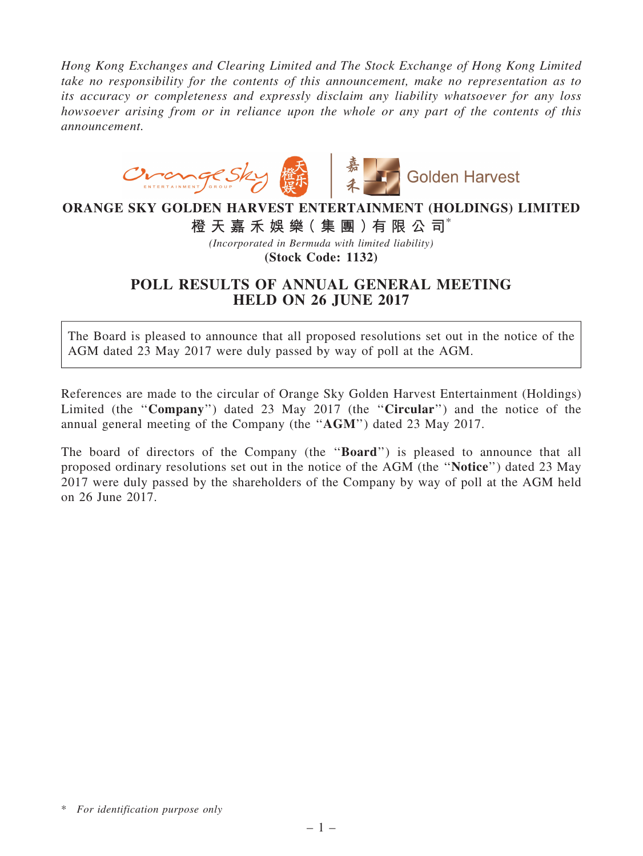*Hong Kong Exchanges and Clearing Limited and The Stock Exchange of Hong Kong Limited take no responsibility for the contents of this announcement, make no representation as to its accuracy or completeness and expressly disclaim any liability whatsoever for any loss howsoever arising from or in reliance upon the whole or any part of the contents of this announcement.*



## ORANGE SKY GOLDEN HARVEST ENTERTAINMENT (HOLDINGS) LIMITED

橙 天 嘉 禾 娛 樂( 集 團 )有 限 公 司\*

*(Incorporated in Bermuda with limited liability)*

(Stock Code: 1132)

## POLL RESULTS OF ANNUAL GENERAL MEETING HELD ON 26 JUNE 2017

The Board is pleased to announce that all proposed resolutions set out in the notice of the AGM dated 23 May 2017 were duly passed by way of poll at the AGM.

References are made to the circular of Orange Sky Golden Harvest Entertainment (Holdings) Limited (the "Company") dated 23 May 2017 (the "Circular") and the notice of the annual general meeting of the Company (the ''AGM'') dated 23 May 2017.

The board of directors of the Company (the "**Board**") is pleased to announce that all proposed ordinary resolutions set out in the notice of the AGM (the ''Notice'') dated 23 May 2017 were duly passed by the shareholders of the Company by way of poll at the AGM held on 26 June 2017.

<sup>\*</sup> *For identification purpose only*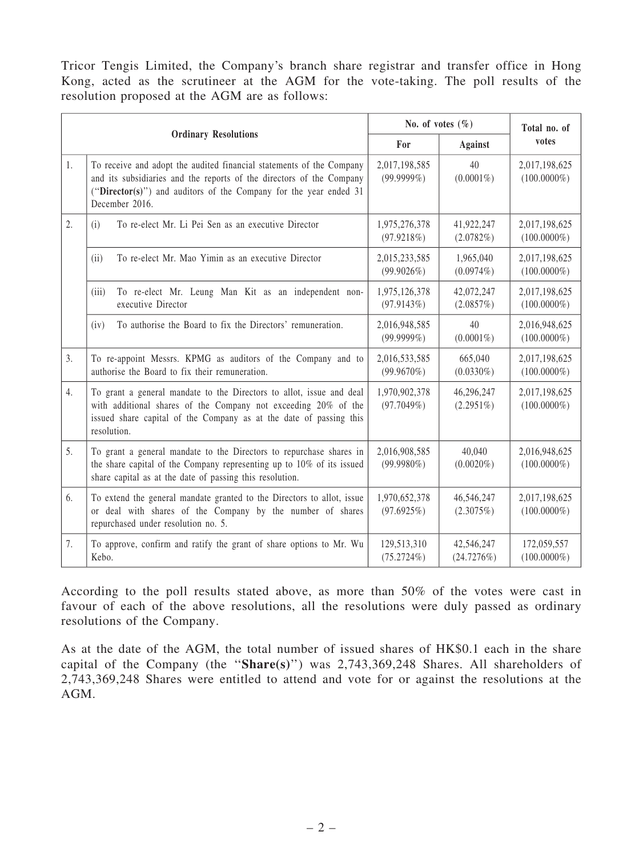Tricor Tengis Limited, the Company's branch share registrar and transfer office in Hong Kong, acted as the scrutineer at the AGM for the vote-taking. The poll results of the resolution proposed at the AGM are as follows:

| <b>Ordinary Resolutions</b> |                                                                                                                                                                                                                                     | No. of votes $(\% )$           |                            | Total no. of                    |
|-----------------------------|-------------------------------------------------------------------------------------------------------------------------------------------------------------------------------------------------------------------------------------|--------------------------------|----------------------------|---------------------------------|
|                             |                                                                                                                                                                                                                                     | For                            | <b>Against</b>             | votes                           |
| 1.                          | To receive and adopt the audited financial statements of the Company<br>and its subsidiaries and the reports of the directors of the Company<br>("Director(s)") and auditors of the Company for the year ended 31<br>December 2016. | 2,017,198,585<br>$(99.9999\%)$ | 40<br>$(0.0001\%)$         | 2,017,198,625<br>$(100.0000\%)$ |
| 2.                          | To re-elect Mr. Li Pei Sen as an executive Director<br>(i)                                                                                                                                                                          | 1,975,276,378<br>(97.9218%)    | 41,922,247<br>(2.0782%)    | 2,017,198,625<br>$(100.0000\%)$ |
|                             | To re-elect Mr. Mao Yimin as an executive Director<br>(ii)                                                                                                                                                                          | 2,015,233,585<br>(99.9026%)    | 1,965,040<br>$(0.0974\%)$  | 2,017,198,625<br>$(100.0000\%)$ |
|                             | To re-elect Mr. Leung Man Kit as an independent non-<br>(iii)<br>executive Director                                                                                                                                                 | 1,975,126,378<br>(97.9143%)    | 42,072,247<br>(2.0857%)    | 2,017,198,625<br>$(100.0000\%)$ |
|                             | To authorise the Board to fix the Directors' remuneration.<br>(iv)                                                                                                                                                                  | 2,016,948,585<br>$(99.9999\%)$ | 40<br>$(0.0001\%)$         | 2,016,948,625<br>$(100.0000\%)$ |
| $\mathfrak{Z}$ .            | To re-appoint Messrs. KPMG as auditors of the Company and to<br>authorise the Board to fix their remuneration.                                                                                                                      | 2,016,533,585<br>$(99.9670\%)$ | 665,040<br>$(0.0330\%)$    | 2,017,198,625<br>$(100.0000\%)$ |
| $\overline{4}$ .            | To grant a general mandate to the Directors to allot, issue and deal<br>with additional shares of the Company not exceeding 20% of the<br>issued share capital of the Company as at the date of passing this<br>resolution.         | 1,970,902,378<br>(97.7049%)    | 46,296,247<br>$(2.2951\%)$ | 2,017,198,625<br>$(100.0000\%)$ |
| 5.                          | To grant a general mandate to the Directors to repurchase shares in<br>the share capital of the Company representing up to 10% of its issued<br>share capital as at the date of passing this resolution.                            | 2,016,908,585<br>$(99.9980\%)$ | 40,040<br>$(0.0020\%)$     | 2,016,948,625<br>$(100.0000\%)$ |
| 6.                          | To extend the general mandate granted to the Directors to allot, issue<br>or deal with shares of the Company by the number of shares<br>repurchased under resolution no. 5.                                                         | 1,970,652,378<br>(97.6925%)    | 46,546,247<br>(2.3075%)    | 2,017,198,625<br>$(100.0000\%)$ |
| 7.                          | To approve, confirm and ratify the grant of share options to Mr. Wu<br>Kebo.                                                                                                                                                        | 129,513,310<br>(75.2724%)      | 42,546,247<br>(24.7276%)   | 172,059,557<br>$(100.0000\%)$   |

According to the poll results stated above, as more than 50% of the votes were cast in favour of each of the above resolutions, all the resolutions were duly passed as ordinary resolutions of the Company.

As at the date of the AGM, the total number of issued shares of HK\$0.1 each in the share capital of the Company (the " $Share(s)$ ") was 2,743,369,248 Shares. All shareholders of 2,743,369,248 Shares were entitled to attend and vote for or against the resolutions at the AGM.